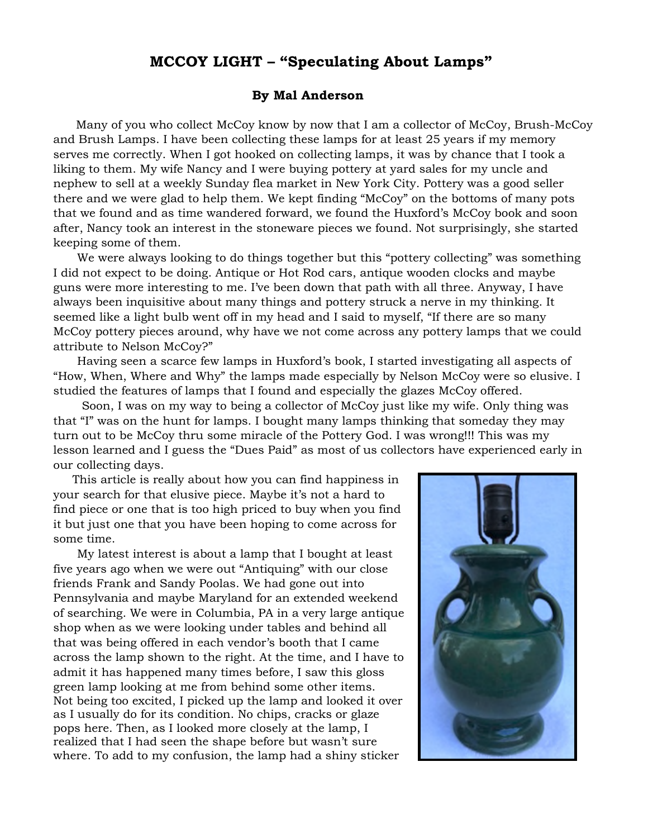## **MCCOY LIGHT – "Speculating About Lamps"**

## **By Mal Anderson**

Many of you who collect McCoy know by now that I am a collector of McCoy, Brush-McCoy and Brush Lamps. I have been collecting these lamps for at least 25 years if my memory serves me correctly. When I got hooked on collecting lamps, it was by chance that I took a liking to them. My wife Nancy and I were buying pottery at yard sales for my uncle and nephew to sell at a weekly Sunday flea market in New York City. Pottery was a good seller there and we were glad to help them. We kept finding "McCoy" on the bottoms of many pots that we found and as time wandered forward, we found the Huxford's McCoy book and soon after, Nancy took an interest in the stoneware pieces we found. Not surprisingly, she started keeping some of them.

We were always looking to do things together but this "pottery collecting" was something I did not expect to be doing. Antique or Hot Rod cars, antique wooden clocks and maybe guns were more interesting to me. I've been down that path with all three. Anyway, I have always been inquisitive about many things and pottery struck a nerve in my thinking. It seemed like a light bulb went off in my head and I said to myself, "If there are so many McCoy pottery pieces around, why have we not come across any pottery lamps that we could attribute to Nelson McCoy?"

Having seen a scarce few lamps in Huxford's book, I started investigating all aspects of "How, When, Where and Why" the lamps made especially by Nelson McCoy were so elusive. I studied the features of lamps that I found and especially the glazes McCoy offered.

Soon, I was on my way to being a collector of McCoy just like my wife. Only thing was that "I" was on the hunt for lamps. I bought many lamps thinking that someday they may turn out to be McCoy thru some miracle of the Pottery God. I was wrong!!! This was my lesson learned and I guess the "Dues Paid" as most of us collectors have experienced early in our collecting days.

This article is really about how you can find happiness in your search for that elusive piece. Maybe it's not a hard to find piece or one that is too high priced to buy when you find it but just one that you have been hoping to come across for some time.

My latest interest is about a lamp that I bought at least five years ago when we were out "Antiquing" with our close friends Frank and Sandy Poolas. We had gone out into Pennsylvania and maybe Maryland for an extended weekend of searching. We were in Columbia, PA in a very large antique shop when as we were looking under tables and behind all that was being offered in each vendor's booth that I came across the lamp shown to the right. At the time, and I have to admit it has happened many times before, I saw this gloss green lamp looking at me from behind some other items. Not being too excited, I picked up the lamp and looked it over as I usually do for its condition. No chips, cracks or glaze pops here. Then, as I looked more closely at the lamp, I realized that I had seen the shape before but wasn't sure where. To add to my confusion, the lamp had a shiny sticker